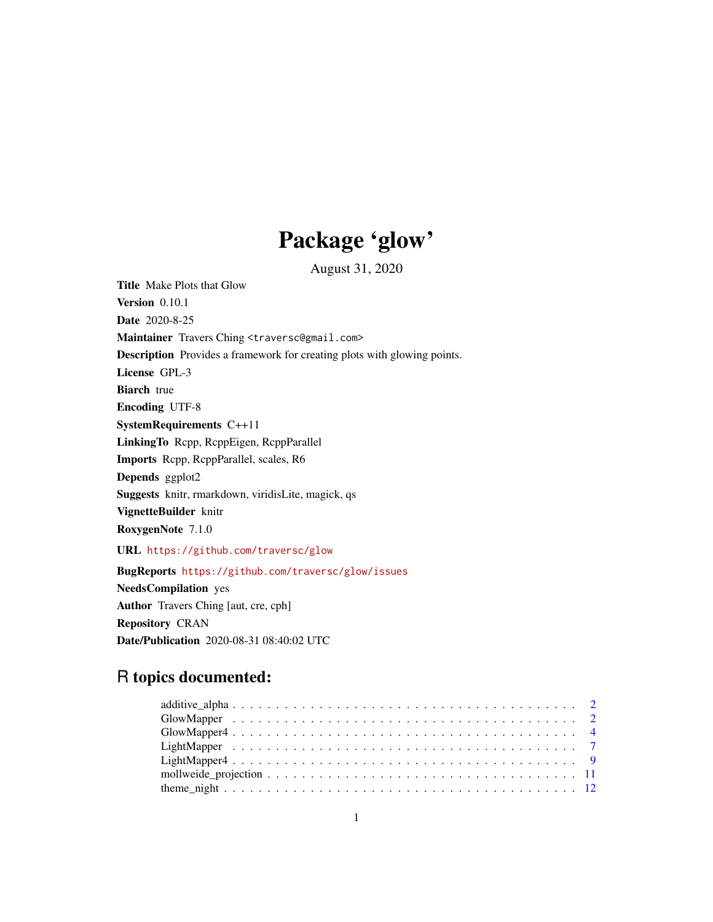# Package 'glow'

August 31, 2020

Title Make Plots that Glow

Version 0.10.1 Date 2020-8-25 Maintainer Travers Ching <traversc@gmail.com> Description Provides a framework for creating plots with glowing points. License GPL-3 Biarch true Encoding UTF-8 SystemRequirements C++11 LinkingTo Rcpp, RcppEigen, RcppParallel Imports Rcpp, RcppParallel, scales, R6 Depends ggplot2 Suggests knitr, rmarkdown, viridisLite, magick, qs

VignetteBuilder knitr

RoxygenNote 7.1.0

URL <https://github.com/traversc/glow>

BugReports <https://github.com/traversc/glow/issues> NeedsCompilation yes Author Travers Ching [aut, cre, cph] Repository CRAN Date/Publication 2020-08-31 08:40:02 UTC

# R topics documented: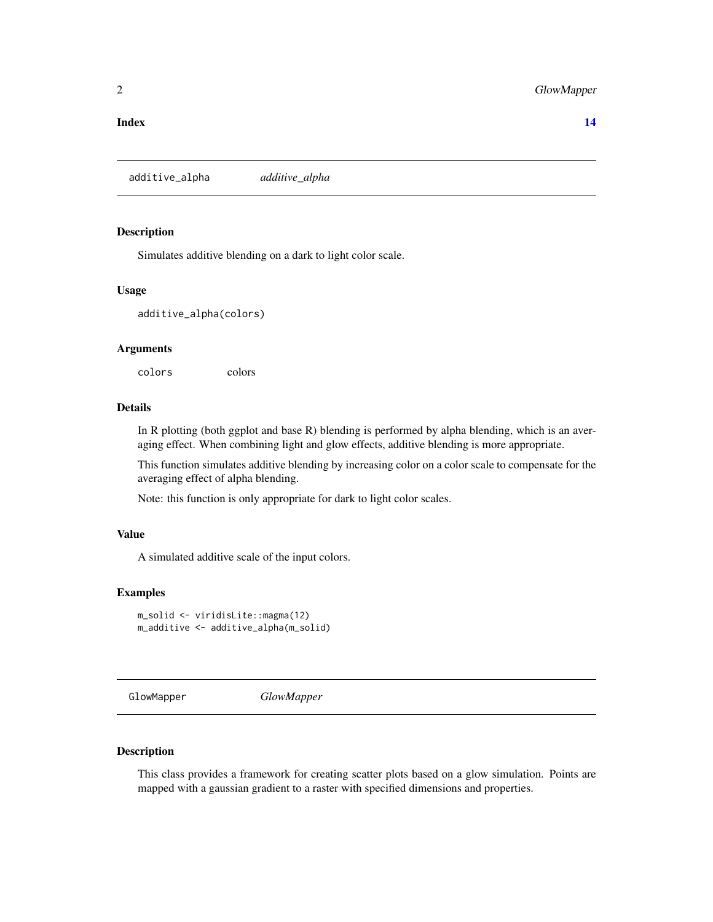#### <span id="page-1-0"></span>**Index** 2008 **[14](#page-13-0)**

additive\_alpha *additive\_alpha*

## Description

Simulates additive blending on a dark to light color scale.

#### Usage

additive\_alpha(colors)

#### Arguments

colors colors

# Details

In R plotting (both ggplot and base R) blending is performed by alpha blending, which is an averaging effect. When combining light and glow effects, additive blending is more appropriate.

This function simulates additive blending by increasing color on a color scale to compensate for the averaging effect of alpha blending.

Note: this function is only appropriate for dark to light color scales.

#### Value

A simulated additive scale of the input colors.

#### Examples

```
m_solid <- viridisLite::magma(12)
m_additive <- additive_alpha(m_solid)
```
GlowMapper *GlowMapper*

# Description

This class provides a framework for creating scatter plots based on a glow simulation. Points are mapped with a gaussian gradient to a raster with specified dimensions and properties.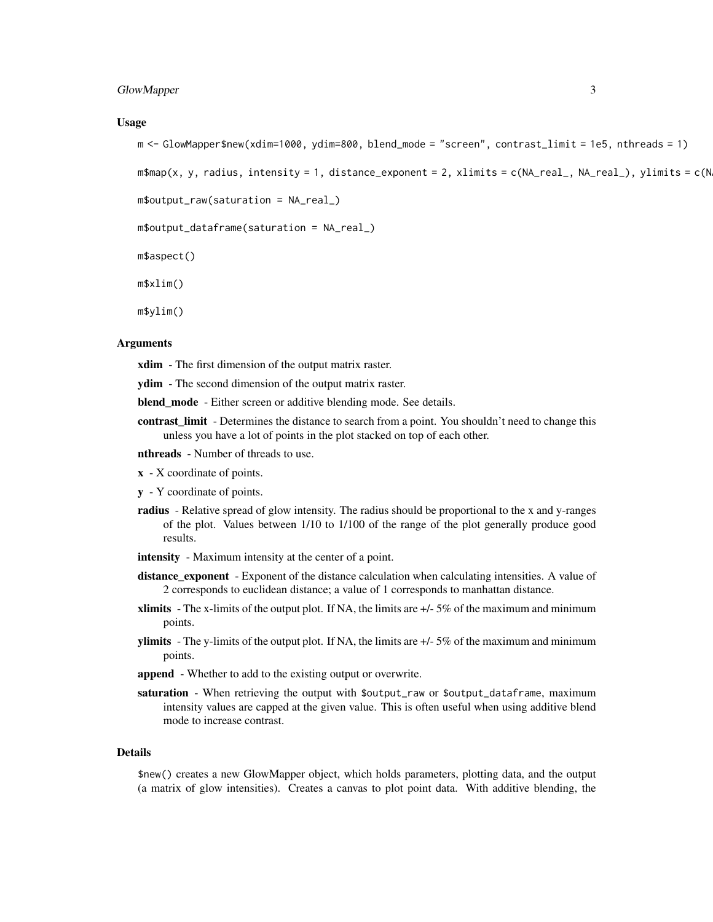#### GlowMapper 3

#### Usage

```
m <- GlowMapper$new(xdim=1000, ydim=800, blend_mode = "screen", contrast_limit = 1e5, nthreads = 1)
```

```
m$map(x, y, radius, intensity = 1, distance_xponent = 2, xlimits = c(NA_rreal, NA_rreal), ylimits = c(NA_rreal)
```

```
m$output_raw(saturation = NA_real_)
```

```
m$output_dataframe(saturation = NA_real_)
```
m\$aspect()

m\$xlim()

m\$ylim()

#### Arguments

xdim - The first dimension of the output matrix raster.

ydim - The second dimension of the output matrix raster.

blend\_mode - Either screen or additive blending mode. See details.

- contrast\_limit Determines the distance to search from a point. You shouldn't need to change this unless you have a lot of points in the plot stacked on top of each other.
- nthreads Number of threads to use.
- x X coordinate of points.
- y Y coordinate of points.
- radius Relative spread of glow intensity. The radius should be proportional to the x and y-ranges of the plot. Values between 1/10 to 1/100 of the range of the plot generally produce good results.
- intensity Maximum intensity at the center of a point.
- distance\_exponent Exponent of the distance calculation when calculating intensities. A value of 2 corresponds to euclidean distance; a value of 1 corresponds to manhattan distance.
- **xlimits** The x-limits of the output plot. If NA, the limits are  $+/-5\%$  of the maximum and minimum points.
- ylimits The y-limits of the output plot. If NA, the limits are  $+/-5\%$  of the maximum and minimum points.
- append Whether to add to the existing output or overwrite.
- saturation When retrieving the output with \$output\_raw or \$output\_dataframe, maximum intensity values are capped at the given value. This is often useful when using additive blend mode to increase contrast.

#### Details

\$new() creates a new GlowMapper object, which holds parameters, plotting data, and the output (a matrix of glow intensities). Creates a canvas to plot point data. With additive blending, the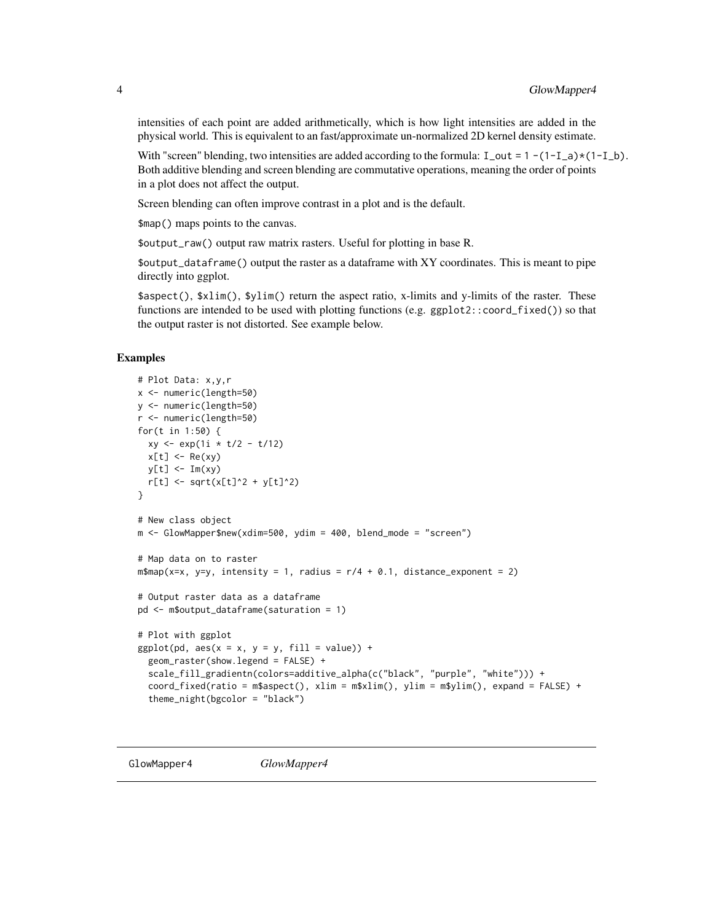intensities of each point are added arithmetically, which is how light intensities are added in the physical world. This is equivalent to an fast/approximate un-normalized 2D kernel density estimate.

With "screen" blending, two intensities are added according to the formula:  $I_out = 1 - (1-I_a)*(1-I_b)$ . Both additive blending and screen blending are commutative operations, meaning the order of points in a plot does not affect the output.

Screen blending can often improve contrast in a plot and is the default.

\$map() maps points to the canvas.

\$output\_raw() output raw matrix rasters. Useful for plotting in base R.

\$output\_dataframe() output the raster as a dataframe with XY coordinates. This is meant to pipe directly into ggplot.

\$aspect(), \$xlim(), \$ylim() return the aspect ratio, x-limits and y-limits of the raster. These functions are intended to be used with plotting functions (e.g. ggplot2::coord\_fixed()) so that the output raster is not distorted. See example below.

### Examples

```
# Plot Data: x,y,r
x <- numeric(length=50)
y <- numeric(length=50)
r <- numeric(length=50)
for(t in 1:50) {
 xy \leq exp(1i * t/2 - t/12)x[t] <- Re(xy)
 y[t] <- Im(xy)
  r[t] <- sqrt(x[t]^2 + y[t]^2)
}
# New class object
m <- GlowMapper$new(xdim=500, ydim = 400, blend_mode = "screen")
# Map data on to raster
m$map(x=x, y=y, intensity = 1, radius = r/4 + 0.1, distance_exponent = 2)
# Output raster data as a dataframe
pd <- m$output_dataframe(saturation = 1)
# Plot with ggplot
ggplot(pd, aes(x = x, y = y, fill = value)) +geom_raster(show.legend = FALSE) +
  scale_fill_gradientn(colors=additive_alpha(c("black", "purple", "white"))) +
  coord_fixed(ratio = m$aspect(), xlim = m$xlim(), ylim = m$ylim(), expand = FALSE) +
  theme_night(bgcolor = "black")
```
GlowMapper4 *GlowMapper4*

<span id="page-3-0"></span>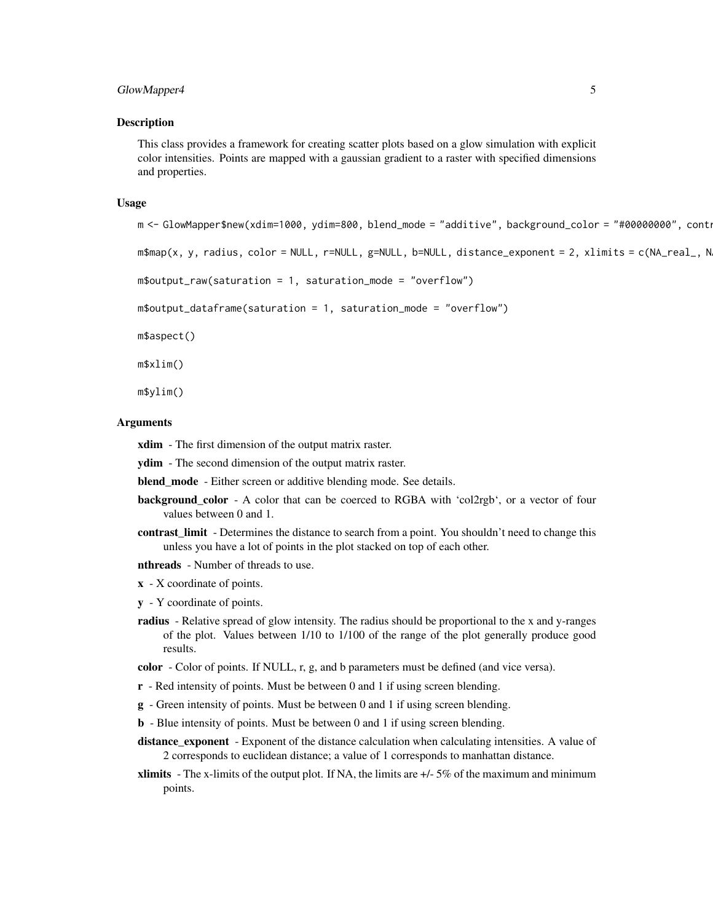#### GlowMapper4 5

#### Description

This class provides a framework for creating scatter plots based on a glow simulation with explicit color intensities. Points are mapped with a gaussian gradient to a raster with specified dimensions and properties.

#### Usage

```
m <- GlowMapper$new(xdim=1000, ydim=800, blend_mode = "additive", background_color = "#00000000", contra
```
m\$map(x, y, radius, color = NULL, r=NULL, g=NULL, b=NULL, distance\_exponent = 2, xlimits = c(NA\_real\_, N

```
m$output_raw(saturation = 1, saturation_mode = "overflow")
```

```
m$output_dataframe(saturation = 1, saturation_mode = "overflow")
```
m\$aspect()

m\$xlim()

m\$ylim()

### Arguments

xdim - The first dimension of the output matrix raster.

**ydim** - The second dimension of the output matrix raster.

blend mode - Either screen or additive blending mode. See details.

- background\_color A color that can be coerced to RGBA with 'col2rgb', or a vector of four values between 0 and 1.
- contrast\_limit Determines the distance to search from a point. You shouldn't need to change this unless you have a lot of points in the plot stacked on top of each other.
- nthreads Number of threads to use.
- $x X$  coordinate of points.
- y Y coordinate of points.
- radius Relative spread of glow intensity. The radius should be proportional to the x and y-ranges of the plot. Values between 1/10 to 1/100 of the range of the plot generally produce good results.

color - Color of points. If NULL, r, g, and b parameters must be defined (and vice versa).

- r Red intensity of points. Must be between 0 and 1 if using screen blending.
- g Green intensity of points. Must be between 0 and 1 if using screen blending.
- b Blue intensity of points. Must be between 0 and 1 if using screen blending.
- distance\_exponent Exponent of the distance calculation when calculating intensities. A value of 2 corresponds to euclidean distance; a value of 1 corresponds to manhattan distance.
- **xlimits** The x-limits of the output plot. If NA, the limits are  $+/-5\%$  of the maximum and minimum points.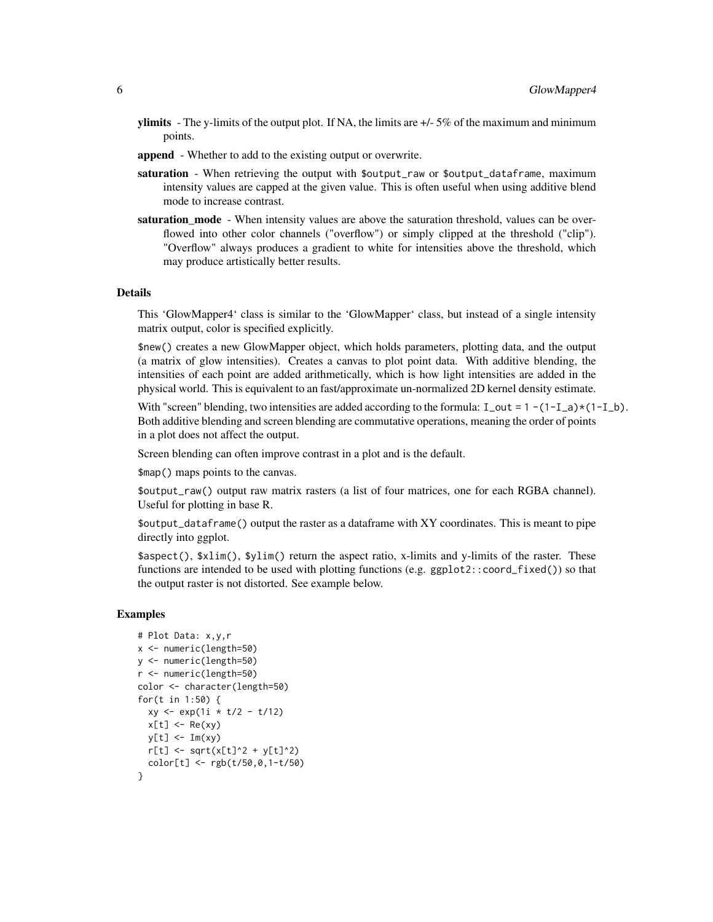- ylimits The y-limits of the output plot. If NA, the limits are  $+/-5\%$  of the maximum and minimum points.
- append Whether to add to the existing output or overwrite.
- saturation When retrieving the output with \$output\_raw or \$output\_dataframe, maximum intensity values are capped at the given value. This is often useful when using additive blend mode to increase contrast.
- saturation mode When intensity values are above the saturation threshold, values can be overflowed into other color channels ("overflow") or simply clipped at the threshold ("clip"). "Overflow" always produces a gradient to white for intensities above the threshold, which may produce artistically better results.

#### Details

This 'GlowMapper4' class is similar to the 'GlowMapper' class, but instead of a single intensity matrix output, color is specified explicitly.

\$new() creates a new GlowMapper object, which holds parameters, plotting data, and the output (a matrix of glow intensities). Creates a canvas to plot point data. With additive blending, the intensities of each point are added arithmetically, which is how light intensities are added in the physical world. This is equivalent to an fast/approximate un-normalized 2D kernel density estimate.

With "screen" blending, two intensities are added according to the formula:  $I_out = 1 - (1-I_a)*(1-I_b)$ . Both additive blending and screen blending are commutative operations, meaning the order of points in a plot does not affect the output.

Screen blending can often improve contrast in a plot and is the default.

\$map() maps points to the canvas.

\$output\_raw() output raw matrix rasters (a list of four matrices, one for each RGBA channel). Useful for plotting in base R.

\$output\_dataframe() output the raster as a dataframe with XY coordinates. This is meant to pipe directly into ggplot.

\$aspect(), \$xlim(), \$ylim() return the aspect ratio, x-limits and y-limits of the raster. These functions are intended to be used with plotting functions (e.g. ggplot2::coord\_fixed()) so that the output raster is not distorted. See example below.

#### Examples

```
# Plot Data: x,y,r
x <- numeric(length=50)
y <- numeric(length=50)
r <- numeric(length=50)
color <- character(length=50)
for(t in 1:50) {
  xy <- exp(1i * t/2 - t/12)
  x[t] <- Re(xy)
  y[t] <- Im(xy)
  r[t] <- sqrt(x[t]^2 + y[t]^2)
  color[t] <- rgb(t/50,0,1-t/50)
}
```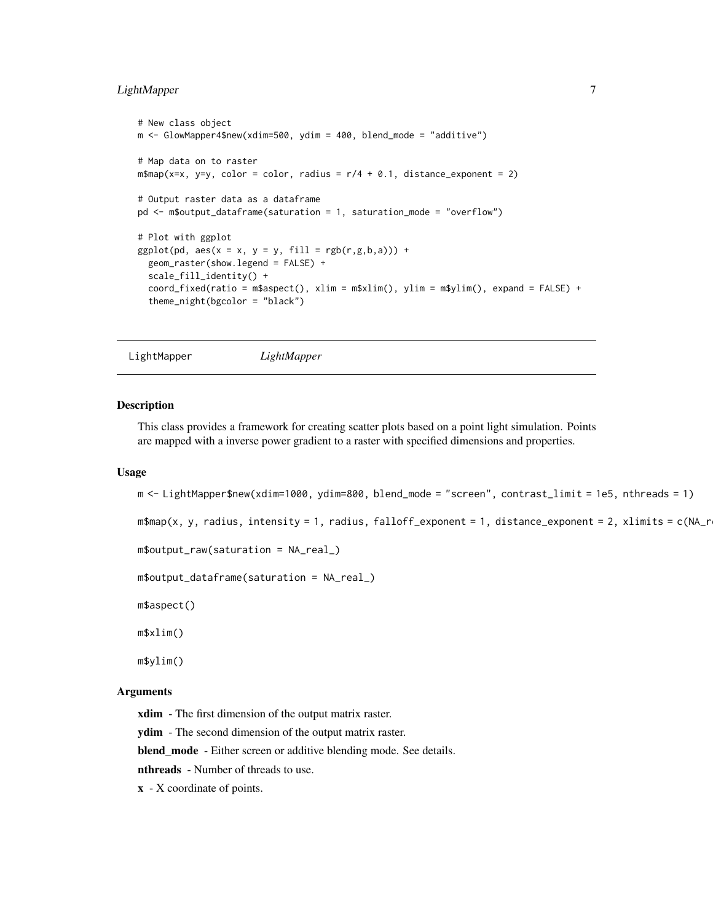# <span id="page-6-0"></span>LightMapper 7

```
# New class object
m <- GlowMapper4$new(xdim=500, ydim = 400, blend_mode = "additive")
# Map data on to raster
m$map(x=x, y=y, color = color, radius = r/4 + 0.1, distance\_exponent = 2)# Output raster data as a dataframe
pd <- m$output_dataframe(saturation = 1, saturation_mode = "overflow")
# Plot with ggplot
ggplot(pd, aes(x = x, y = y, fill = rgb(r,g,b,a))) +geom_raster(show.legend = FALSE) +
  scale_fill_identity() +
  coord_fixed(ratio = m$aspect(), xlim = m$xlim(), ylim = m$ylim(), expand = FALSE) +
  theme_night(bgcolor = "black")
```

```
LightMapper LightMapper
```
#### **Description**

This class provides a framework for creating scatter plots based on a point light simulation. Points are mapped with a inverse power gradient to a raster with specified dimensions and properties.

#### Usage

```
m <- LightMapper$new(xdim=1000, ydim=800, blend_mode = "screen", contrast_limit = 1e5, nthreads = 1)
```

```
m$map(x, y, radius, intensity = 1, radius, falloff\_exponent = 1, distance\_exponent = 2, xlimits = c(NA_r)
```

```
m$output_raw(saturation = NA_real_)
```
m\$output\_dataframe(saturation = NA\_real\_)

m\$aspect()

m\$xlim()

m\$ylim()

#### Arguments

xdim - The first dimension of the output matrix raster.

ydim - The second dimension of the output matrix raster.

blend\_mode - Either screen or additive blending mode. See details.

nthreads - Number of threads to use.

x - X coordinate of points.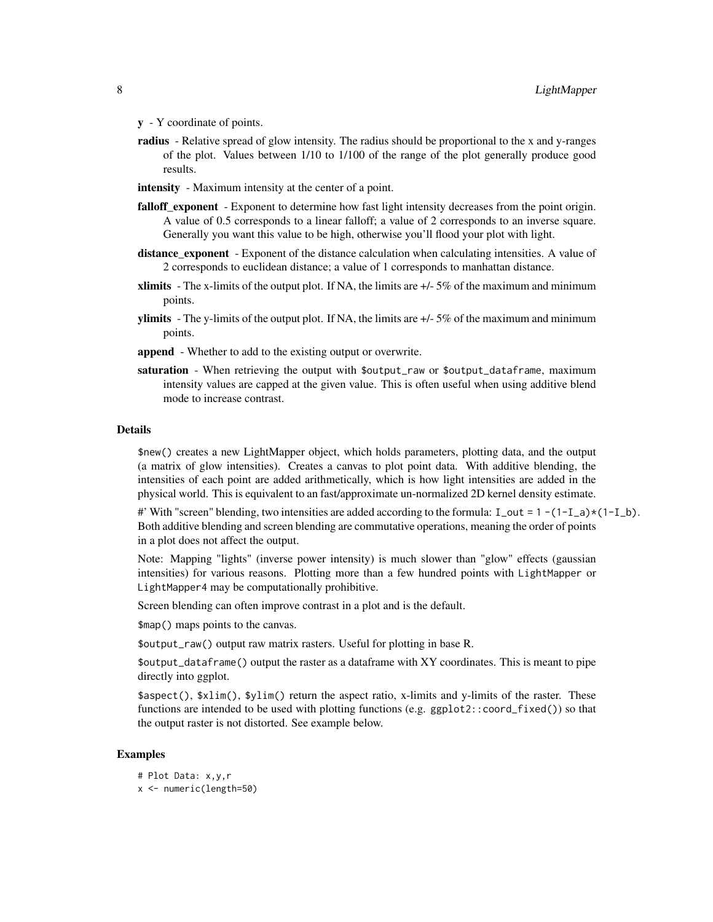- y Y coordinate of points.
- radius Relative spread of glow intensity. The radius should be proportional to the x and y-ranges of the plot. Values between 1/10 to 1/100 of the range of the plot generally produce good results.
- intensity Maximum intensity at the center of a point.
- falloff exponent Exponent to determine how fast light intensity decreases from the point origin. A value of 0.5 corresponds to a linear falloff; a value of 2 corresponds to an inverse square. Generally you want this value to be high, otherwise you'll flood your plot with light.
- distance\_exponent Exponent of the distance calculation when calculating intensities. A value of 2 corresponds to euclidean distance; a value of 1 corresponds to manhattan distance.
- **xlimits** The x-limits of the output plot. If NA, the limits are  $+/-5\%$  of the maximum and minimum points.
- **ylimits** The y-limits of the output plot. If NA, the limits are  $+/-5\%$  of the maximum and minimum points.
- append Whether to add to the existing output or overwrite.
- saturation When retrieving the output with \$output\_raw or \$output\_dataframe, maximum intensity values are capped at the given value. This is often useful when using additive blend mode to increase contrast.

#### Details

\$new() creates a new LightMapper object, which holds parameters, plotting data, and the output (a matrix of glow intensities). Creates a canvas to plot point data. With additive blending, the intensities of each point are added arithmetically, which is how light intensities are added in the physical world. This is equivalent to an fast/approximate un-normalized 2D kernel density estimate.

#' With "screen" blending, two intensities are added according to the formula:  $I_$ out = 1 -(1- $I_$ a)\*(1- $I_$ b). Both additive blending and screen blending are commutative operations, meaning the order of points in a plot does not affect the output.

Note: Mapping "lights" (inverse power intensity) is much slower than "glow" effects (gaussian intensities) for various reasons. Plotting more than a few hundred points with LightMapper or LightMapper4 may be computationally prohibitive.

Screen blending can often improve contrast in a plot and is the default.

\$map() maps points to the canvas.

\$output\_raw() output raw matrix rasters. Useful for plotting in base R.

\$output\_dataframe() output the raster as a dataframe with XY coordinates. This is meant to pipe directly into ggplot.

\$aspect(), \$xlim(), \$ylim() return the aspect ratio, x-limits and y-limits of the raster. These functions are intended to be used with plotting functions (e.g. ggplot2::coord\_fixed()) so that the output raster is not distorted. See example below.

#### Examples

# Plot Data: x,y,r x <- numeric(length=50)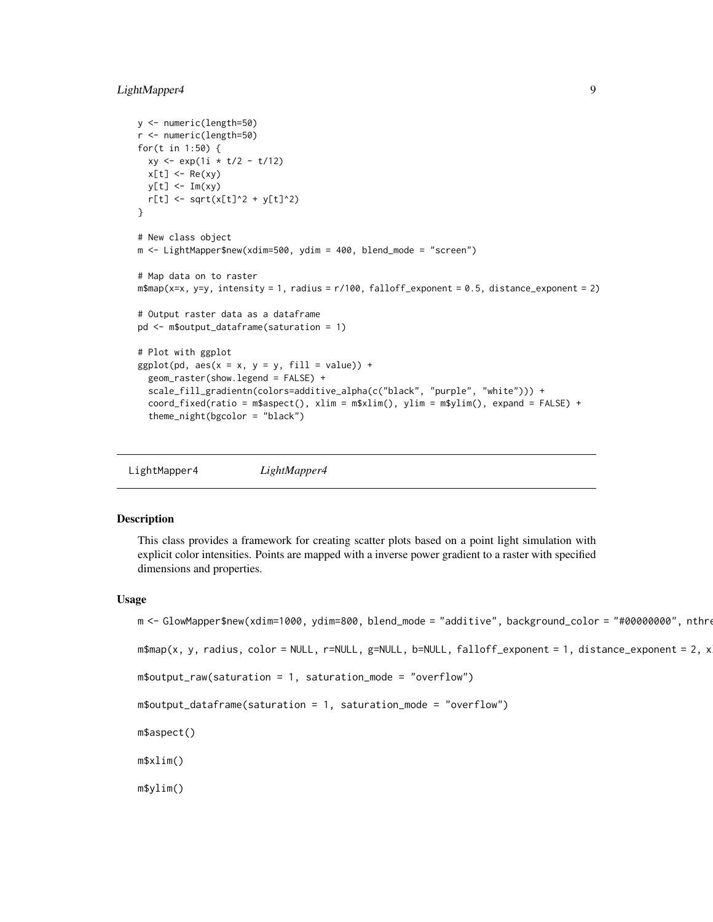# <span id="page-8-0"></span>LightMapper4 9

```
y <- numeric(length=50)
r <- numeric(length=50)
for(t in 1:50) {
 xy \leq exp(1i \cdot t/2 - t/12)x[t] <- Re(xy)y[t] <- Im(xy)
  r[t] <- sqrt(x[t]^2 + y[t]^2)
}
# New class object
m <- LightMapper$new(xdim=500, ydim = 400, blend_mode = "screen")
# Map data on to raster
m$map(x=x, y=y, intensity = 1, radius = r/100, falloff_exponent = 0.5, distance_exponent = 2)
# Output raster data as a dataframe
pd <- m$output_dataframe(saturation = 1)
# Plot with ggplot
ggplot(pd, aes(x = x, y = y, fill = value)) +geom_raster(show.legend = FALSE) +
  scale_fill_gradientn(colors=additive_alpha(c("black", "purple", "white"))) +
  coord_fixed(ratio = m$aspect(), xlim = m$xlim(), ylim = m$ylim(), expand = FALSE) +
  theme_night(bgcolor = "black")
```
LightMapper4 *LightMapper4*

#### **Description**

This class provides a framework for creating scatter plots based on a point light simulation with explicit color intensities. Points are mapped with a inverse power gradient to a raster with specified dimensions and properties.

#### Usage

```
m <- GlowMapper$new(xdim=1000, ydim=800, blend_mode = "additive", background_color = "#00000000", nthreads
m$map(x, y, radius, color = NULL, r=NULL, g=NULL, b=NULL, falloff_exponent = 1, distance_exponent = 2, x
m$output_raw(saturation = 1, saturation_mode = "overflow")
m$output_dataframe(saturation = 1, saturation_mode = "overflow")
m$aspect()
m$xlim()
m$ylim()
```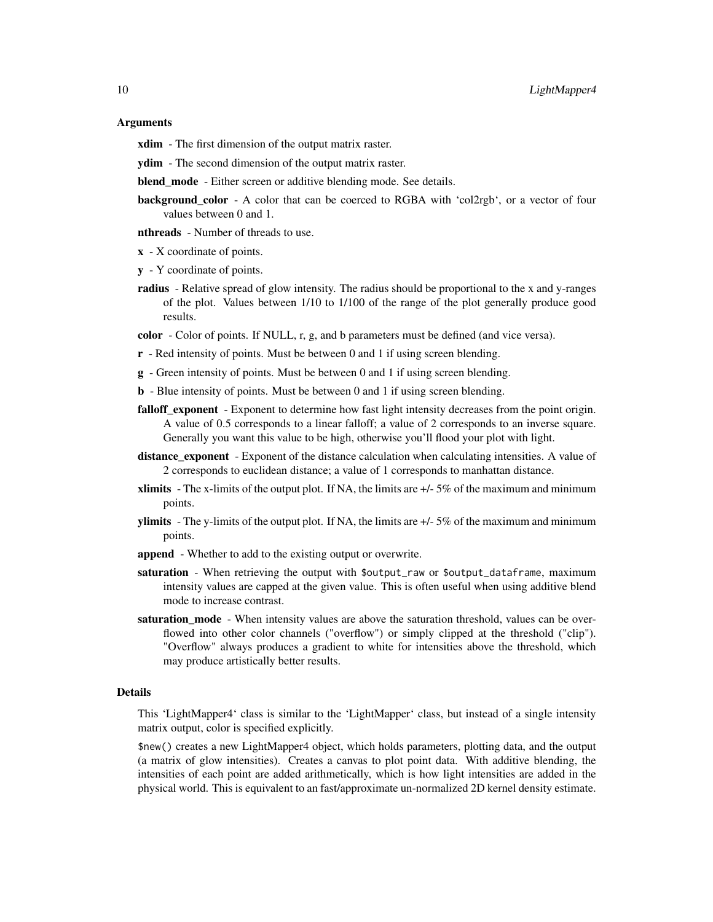#### Arguments

**xdim** - The first dimension of the output matrix raster.

- ydim The second dimension of the output matrix raster.
- blend mode Either screen or additive blending mode. See details.
- background\_color A color that can be coerced to RGBA with 'col2rgb', or a vector of four values between 0 and 1.
- **nthreads** Number of threads to use.
- $x X$  coordinate of points.
- y Y coordinate of points.
- radius Relative spread of glow intensity. The radius should be proportional to the x and y-ranges of the plot. Values between 1/10 to 1/100 of the range of the plot generally produce good results.

color - Color of points. If NULL, r, g, and b parameters must be defined (and vice versa).

- r Red intensity of points. Must be between 0 and 1 if using screen blending.
- g Green intensity of points. Must be between 0 and 1 if using screen blending.
- b Blue intensity of points. Must be between 0 and 1 if using screen blending.
- falloff\_exponent Exponent to determine how fast light intensity decreases from the point origin. A value of 0.5 corresponds to a linear falloff; a value of 2 corresponds to an inverse square. Generally you want this value to be high, otherwise you'll flood your plot with light.
- distance exponent Exponent of the distance calculation when calculating intensities. A value of 2 corresponds to euclidean distance; a value of 1 corresponds to manhattan distance.
- **xlimits** The x-limits of the output plot. If NA, the limits are  $+/-5\%$  of the maximum and minimum points.
- **ylimits** The y-limits of the output plot. If NA, the limits are  $+/-5\%$  of the maximum and minimum points.
- append Whether to add to the existing output or overwrite.
- saturation When retrieving the output with \$output\_raw or \$output\_dataframe, maximum intensity values are capped at the given value. This is often useful when using additive blend mode to increase contrast.
- saturation\_mode When intensity values are above the saturation threshold, values can be overflowed into other color channels ("overflow") or simply clipped at the threshold ("clip"). "Overflow" always produces a gradient to white for intensities above the threshold, which may produce artistically better results.

# Details

This 'LightMapper4' class is similar to the 'LightMapper' class, but instead of a single intensity matrix output, color is specified explicitly.

\$new() creates a new LightMapper4 object, which holds parameters, plotting data, and the output (a matrix of glow intensities). Creates a canvas to plot point data. With additive blending, the intensities of each point are added arithmetically, which is how light intensities are added in the physical world. This is equivalent to an fast/approximate un-normalized 2D kernel density estimate.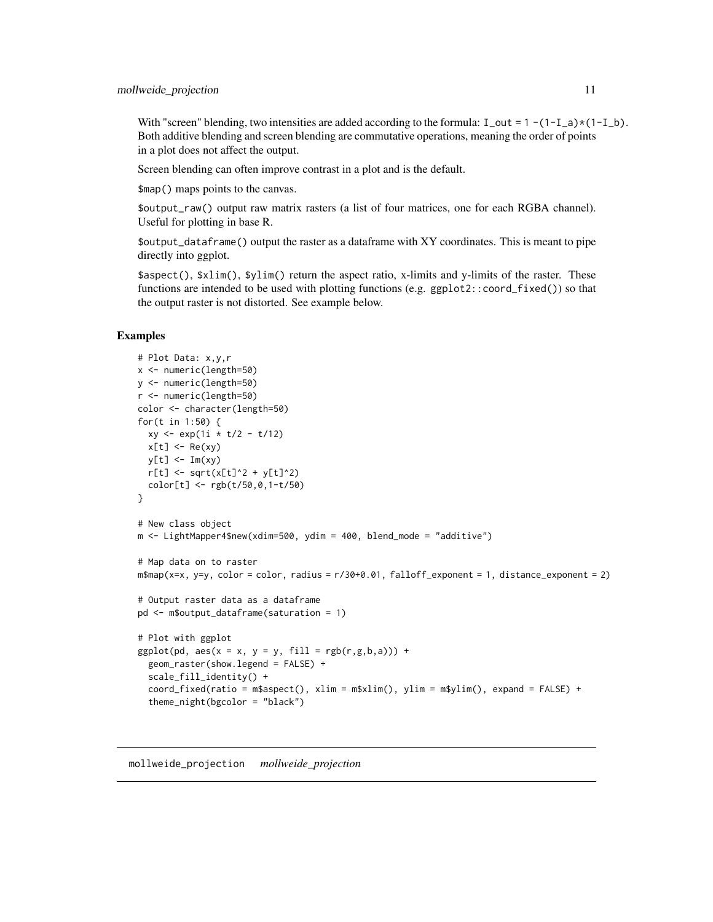<span id="page-10-0"></span>With "screen" blending, two intensities are added according to the formula:  $I_$ out = 1 -(1- $I_$ a)\*(1- $I_$ b). Both additive blending and screen blending are commutative operations, meaning the order of points in a plot does not affect the output.

Screen blending can often improve contrast in a plot and is the default.

\$map() maps points to the canvas.

\$output\_raw() output raw matrix rasters (a list of four matrices, one for each RGBA channel). Useful for plotting in base R.

\$output\_dataframe() output the raster as a dataframe with XY coordinates. This is meant to pipe directly into ggplot.

\$aspect(), \$xlim(), \$ylim() return the aspect ratio, x-limits and y-limits of the raster. These functions are intended to be used with plotting functions (e.g. ggplot2::coord\_fixed()) so that the output raster is not distorted. See example below.

#### Examples

```
# Plot Data: x,y,r
x <- numeric(length=50)
y <- numeric(length=50)
r <- numeric(length=50)
color <- character(length=50)
for(t in 1:50) {
  xy <- exp(1i * t/2 - t/12)
  x[t] <- Re(xy)
  y[t] <- Im(xy)
  r[t] <- sqrt(x[t]^2 + y[t]^2)
  color[t] <- rgb(t/50,0,1-t/50)
}
# New class object
m <- LightMapper4$new(xdim=500, ydim = 400, blend_mode = "additive")
# Map data on to raster
m$map(x=x, y=y, color = color, radius = r/30+0.01, falloff_exponent = 1, distance_exponent = 2)
# Output raster data as a dataframe
pd <- m$output_dataframe(saturation = 1)
# Plot with ggplot
ggplot(pd, aes(x = x, y = y, fill = rgb(r,g,b,a))) +geom_raster(show.legend = FALSE) +
  scale_fill_identity() +
  coord_fixed(ratio = m$aspect(), xlim = m$xlim(), ylim = m$ylim(), expand = FALSE) +
  theme_night(bgcolor = "black")
```
mollweide\_projection *mollweide\_projection*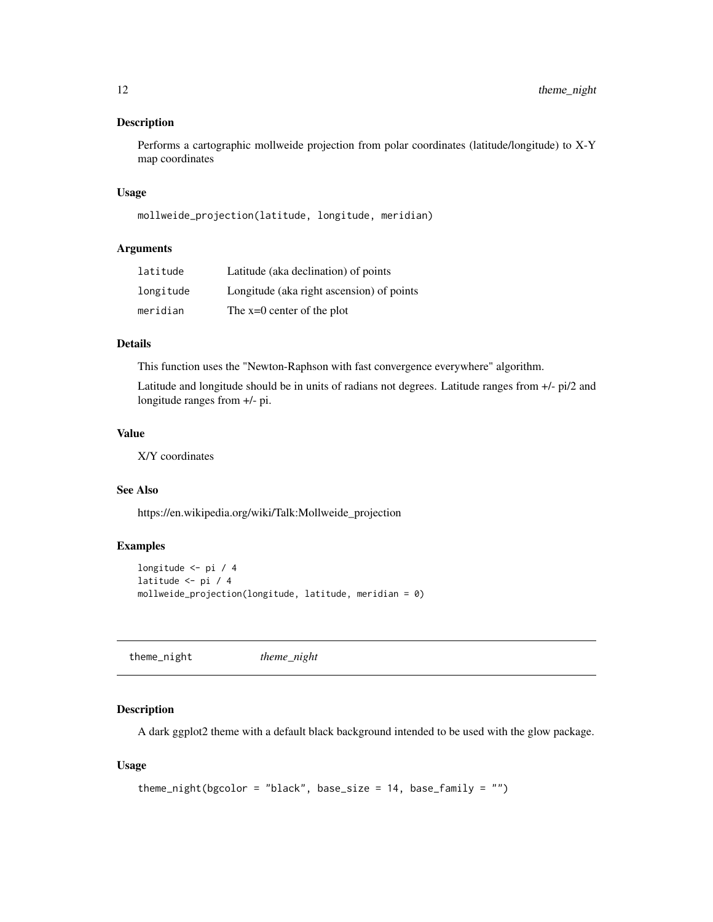## <span id="page-11-0"></span>Description

Performs a cartographic mollweide projection from polar coordinates (latitude/longitude) to X-Y map coordinates

#### Usage

```
mollweide_projection(latitude, longitude, meridian)
```
# Arguments

| latitude  | Latitude (aka declination) of points      |
|-----------|-------------------------------------------|
| longitude | Longitude (aka right ascension) of points |
| meridian  | The $x=0$ center of the plot              |

#### Details

This function uses the "Newton-Raphson with fast convergence everywhere" algorithm.

Latitude and longitude should be in units of radians not degrees. Latitude ranges from +/- pi/2 and longitude ranges from +/- pi.

#### Value

X/Y coordinates

# See Also

https://en.wikipedia.org/wiki/Talk:Mollweide\_projection

# Examples

```
longitude <- pi / 4
latitude <- pi / 4
mollweide_projection(longitude, latitude, meridian = 0)
```
theme\_night *theme\_night*

# Description

A dark ggplot2 theme with a default black background intended to be used with the glow package.

#### Usage

```
theme_night(bgcolor = "black", base_size = 14, base_family = "")
```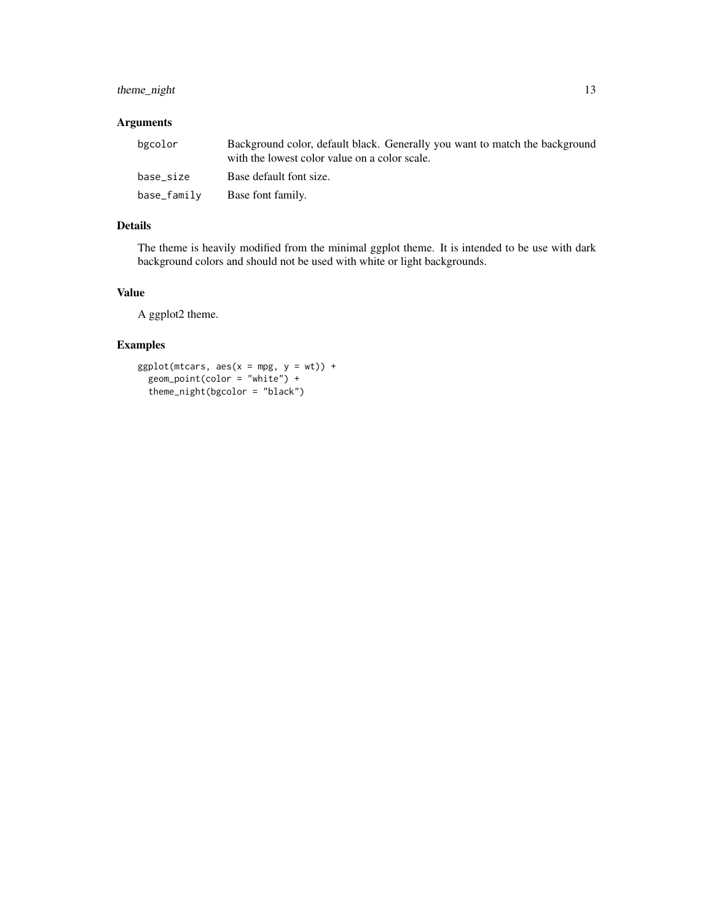# theme\_night 13

# Arguments

| bgcolor     | Background color, default black. Generally you want to match the background<br>with the lowest color value on a color scale. |
|-------------|------------------------------------------------------------------------------------------------------------------------------|
| base_size   | Base default font size.                                                                                                      |
| base_family | Base font family.                                                                                                            |

# Details

The theme is heavily modified from the minimal ggplot theme. It is intended to be use with dark background colors and should not be used with white or light backgrounds.

# Value

A ggplot2 theme.

# Examples

```
ggplot(mtcars, aes(x = mpg, y = wt)) +
  geom_point(color = "white") +
  theme_night(bgcolor = "black")
```